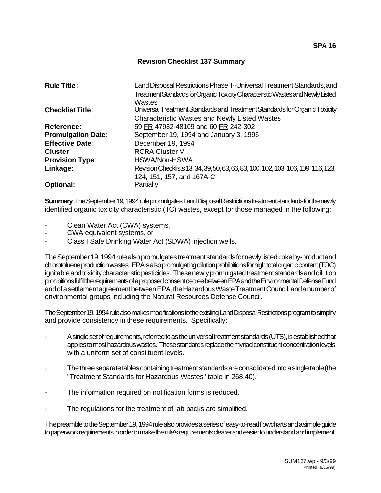## **Revision Checklist 137 Summary**

| <b>Rule Title:</b>        | Land Disposal Restrictions Phase II--Universal Treatment Standards, and            |
|---------------------------|------------------------------------------------------------------------------------|
|                           | Treatment Standards for Organic Toxicity Characteristic Wastes and Newly Listed    |
|                           | Wastes                                                                             |
| <b>Checklist Title:</b>   | Universal Treatment Standards and Treatment Standards for Organic Toxicity         |
|                           | <b>Characteristic Wastes and Newly Listed Wastes</b>                               |
| Reference:                | 59 FR 47982-48109 and 60 FR 242-302                                                |
| <b>Promulgation Date:</b> | September 19, 1994 and January 3, 1995                                             |
| <b>Effective Date:</b>    | December 19, 1994                                                                  |
| Cluster:                  | <b>RCRA Cluster V</b>                                                              |
| <b>Provision Type:</b>    | HSWA/Non-HSWA                                                                      |
| Linkage:                  | Revision Checklists 13, 34, 39, 50, 63, 66, 83, 100, 102, 103, 106, 109, 116, 123, |
|                           | 124, 151, 157, and 167A-C                                                          |
| <b>Optional:</b>          | Partially                                                                          |

**Summary**: The September 19, 1994 rule promulgates Land Disposal Restrictions treatment standards for the newly identified organic toxicity characteristic (TC) wastes, except for those managed in the following:

- Clean Water Act (CWA) systems,
- CWA equivalent systems, or
- Class I Safe Drinking Water Act (SDWA) injection wells.

The September 19, 1994 rule also promulgates treatment standards for newly listed coke by-product and chlorotoluene production wastes. EPA is also promulgating dilution prohibitions for high total organic content (TOC) ignitable and toxicity characteristic pesticides. These newly promulgated treatment standards and dilution prohibitions fulfill the requirements of a proposed consent decree between EPA and the Environmental Defense Fund and of a settlement agreement between EPA, the Hazardous Waste Treatment Council, and a number of environmental groups including the Natural Resources Defense Council.

The September 19, 1994 rule also makes modifications to the existing Land Disposal Restrictions program to simplify and provide consistency in these requirements. Specifically:

- A single set of requirements, referred to as the universal treatment standards (UTS), is established that applies to most hazardous wastes. These standards replace the myriad constituent concentration levels with a uniform set of constituent levels.
- The three separate tables containing treatment standards are consolidated into a single table (the "Treatment Standards for Hazardous Wastes" table in 268.40).
- The information required on notification forms is reduced.
- The regulations for the treatment of lab packs are simplified.

The preamble to the September 19, 1994 rule also provides a series of easy-to-read flowcharts and a simple guide to paperwork requirements in order to make the rule's requirements clearer and easier to understand and implement.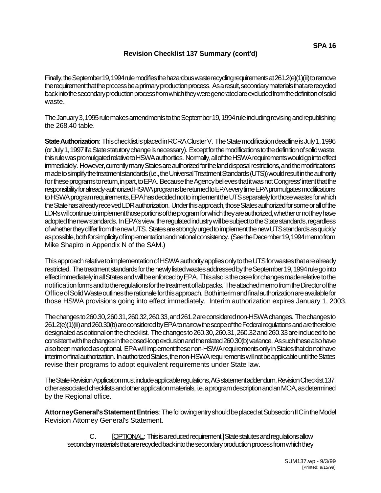Finally, the September 19, 1994 rule modifies the hazardous waste recycling requirements at 261.2(e)(1)(iii) to remove the requirement that the process be a primary production process. As a result, secondary materials that are recycled back into the secondary production process from which they were generated are excluded from the definition of solid waste.

The January 3, 1995 rule makes amendments to the September 19, 1994 rule including revising and republishing the 268.40 table.

**State Authorization**: This checklist is placed in RCRA Cluster V. The State modification deadline is July 1, 1996 (or July 1, 1997 if a State statutory change is necessary). Except for the modifications to the definition of solid waste, this rule was promulgated relative to HSWA authorities. Normally, all of the HSWA requirements would go into effect immediately. However, currently many States are authorized for the land disposal restrictions, and the modifications made to simplify the treatment standards (i.e., the Universal Treatment Standards (UTS)) would result in the authority for these programs to return, in part, to EPA. Because the Agency believes that it was not Congress' intent that the responsibility for already-authorized HSWA programs be returned to EPA every time EPA promulgates modifications to HSWA program requirements, EPA has decided not to implement the UTS separately for those wastes for which the State has already received LDR authorization. Under this approach, those States authorized for some or all of the LDRs will continue to implement those portions of the program for which they are authorized, whether or not they have adopted the new standards. In EPA's view, the regulated industry will be subject to the State standards, regardless of whether they differ from the new UTS. States are strongly urged to implement the new UTS standards as quickly as possible, both for simplicity of implementation and national consistency. (See the December 19, 1994 memo from Mike Shapiro in Appendix N of the SAM.)

This approach relative to implementation of HSWA authority applies only to the UTS for wastes that are already restricted. The treatment standards for the newly listed wastes addressed by the September 19, 1994 rule go into effect immediately in all States and will be enforced by EPA. This also is the case for changes made relative to the notification forms and to the regulations for the treatment of lab packs. The attached memo from the Director of the Office of Solid Waste outlines the rationale for this approach. Both interim and final authorization are available for those HSWA provisions going into effect immediately. Interim authorization expires January 1, 2003.

The changes to 260.30, 260.31, 260.32, 260.33, and 261.2 are considered non-HSWA changes. The changes to 261.2(e)(1)(iii) and 260.30(b) are considered by EPA to narrow the scope of the Federal regulations and are therefore designated as optional on the checklist. The changes to 260.30, 260.31, 260.32 and 260.33 are included to be consistent with the changes in the closed-loop exclusion and the related 260.30(b) variance. As such these also have also been marked as optional. EPA will implement these non-HSWA requirements only in States that do not have interim or final authorization. In authorized States, the non-HSWA requirements will not be applicable until the States revise their programs to adopt equivalent requirements under State law.

The State Revision Application must include applicable regulations, AG statement addendum, Revision Checklist 137, other associated checklists and other application materials, i.e. a program description and an MOA, as determined by the Regional office.

**Attorney General's Statement Entries**: The following entry should be placed at Subsection II C in the Model Revision Attorney General's Statement.

C. [OPTIONAL: This is a reduced requirement.] State statutes and regulations allow secondary materials that are recycled back into the secondary production process from which they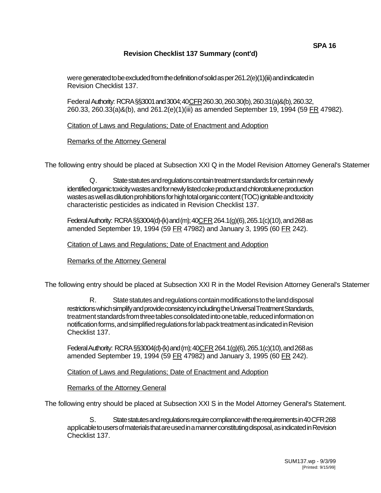## **Revision Checklist 137 Summary (cont'd)**

Federal Authority: RCRA §§3001 and 3004; 40 CFR 260.30, 260.30(b), 260.31(a)&(b), 260.32, 260.33, 260.33(a)&(b), and 261.2(e)(1)(iii) as amended September 19, 1994 (59 FR 47982).

Citation of Laws and Regulations; Date of Enactment and Adoption

## Remarks of the Attorney General

The following entry should be placed at Subsection XXI Q in the Model Revision Attorney General's Statemer

Q. State statutes and regulations contain treatment standards for certain newly identified organic toxicity wastes and for newly listed coke product and chlorotoluene production wastes as well as dilution prohibitions for high total organic content (TOC) ignitable and toxicity characteristic pesticides as indicated in Revision Checklist 137.

Federal Authority: RCRA §§3004(d)-(k) and (m);  $40CFR$  264.1(g)(6), 265.1(c)(10), and 268 as amended September 19, 1994 (59 FR 47982) and January 3, 1995 (60 FR 242).

Citation of Laws and Regulations; Date of Enactment and Adoption

Remarks of the Attorney General

The following entry should be placed at Subsection XXI R in the Model Revision Attorney General's Statemer

R. State statutes and regulations contain modifications to the land disposal restrictions which simplify and provide consistency including the Universal Treatment Standards, treatment standards from three tables consolidated into one table, reduced information on notification forms, and simplified regulations for lab pack treatment as indicated in Revision Checklist 137.

Federal Authority: RCRA §§3004(d)-(k) and (m); 40CFR 264.1(g)(6), 265.1(c)(10), and 268 as amended September 19, 1994 (59 FR 47982) and January 3, 1995 (60 FR 242).

Citation of Laws and Regulations; Date of Enactment and Adoption

Remarks of the Attorney General

The following entry should be placed at Subsection XXI S in the Model Attorney General's Statement.

S. State statutes and regulations require compliance with the requirements in 40 CFR 268 applicable to users of materials that are used in a manner constituting disposal, as indicated in Revision Checklist 137.